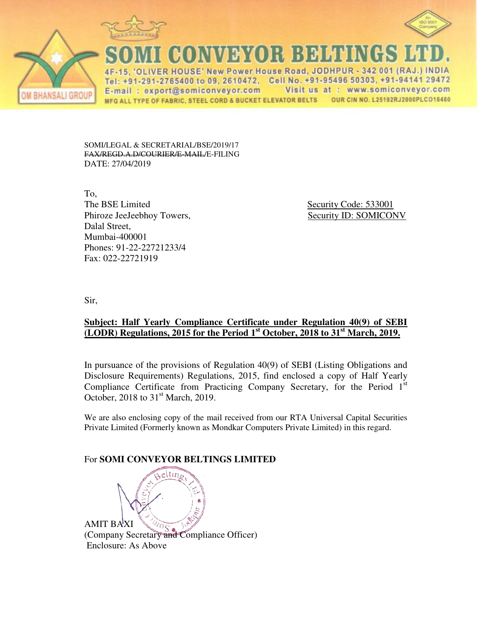



NORMANOR BAHHIN

15. 'OLIVER HOUSE' New Power House Road, JODHPUR - 342 001 (RAJ.) INDIA Tel: +91-291-2765400 to 09, 2610472, Cell No. +91-95496 50303, +91-94141 29472 Visit us at : www.somiconveyor.com E-mail: export@somiconveyor.com MFG ALL TYPE OF FABRIC, STEEL CORD & BUCKET ELEVATOR BELTS OUR CIN NO. L25192RJ2000PLCO16480

SOMI/LEGAL & SECRETARIAL/BSE/2019/17 FAX/REGD.A.D/COURIER/E-MAIL/E-FILING DATE: 27/04/2019

To, The BSE Limited Security Code: 533001 Phiroze JeeJeebhoy Towers, Security ID: SOMICONV Dalal Street, Mumbai-400001 Phones: 91-22-22721233/4 Fax: 022-22721919

Sir,

**BHANSALI GROUP** 

## **Subject: Half Yearly Compliance Certificate under Regulation 40(9) of SEBI (LODR) Regulations, 2015 for the Period 1st October, 2018 to 31st March, 2019.**

In pursuance of the provisions of Regulation 40(9) of SEBI (Listing Obligations and Disclosure Requirements) Regulations, 2015, find enclosed a copy of Half Yearly Compliance Certificate from Practicing Company Secretary, for the Period  $1<sup>st</sup>$ October, 2018 to  $31<sup>st</sup>$  March, 2019.

We are also enclosing copy of the mail received from our RTA Universal Capital Securities Private Limited (Formerly known as Mondkar Computers Private Limited) in this regard.

## For **SOMI CONVEYOR BELTINGS LIMITED**

AMIT BAXI (Company Secretary and Compliance Officer) Enclosure: As Above

eltin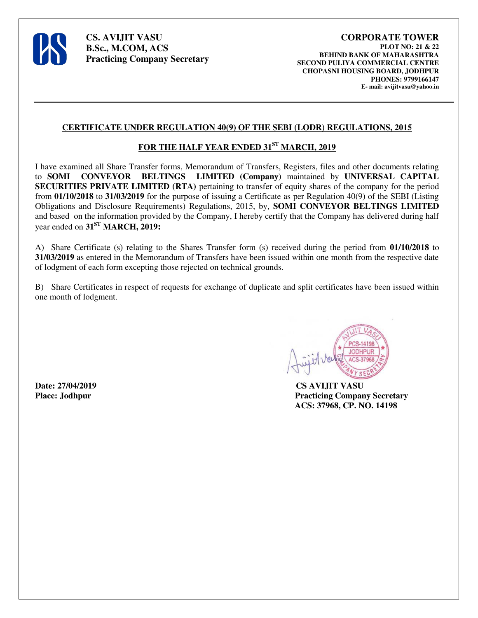

**CS. AVIJIT VASU B.Sc., M.COM, ACS Practicing Company Secretary** 

#### **CERTIFICATE UNDER REGULATION 40(9) OF THE SEBI (LODR) REGULATIONS, 2015**

### **FOR THE HALF YEAR ENDED 31ST MARCH, 2019**

I have examined all Share Transfer forms, Memorandum of Transfers, Registers, files and other documents relating to **SOMI CONVEYOR BELTINGS LIMITED (Company)** maintained by **UNIVERSAL CAPITAL SECURITIES PRIVATE LIMITED (RTA)** pertaining to transfer of equity shares of the company for the period from **01/10/2018** to **31/03/2019** for the purpose of issuing a Certificate as per Regulation 40(9) of the SEBI (Listing Obligations and Disclosure Requirements) Regulations, 2015, by, **SOMI CONVEYOR BELTINGS LIMITED** and based on the information provided by the Company, I hereby certify that the Company has delivered during half year ended on **31ST MARCH, 2019:**

A) Share Certificate (s) relating to the Shares Transfer form (s) received during the period from **01/10/2018** to **31/03/2019** as entered in the Memorandum of Transfers have been issued within one month from the respective date of lodgment of each form excepting those rejected on technical grounds.

B) Share Certificates in respect of requests for exchange of duplicate and split certificates have been issued within one month of lodgment.



**Date: 27/04/2019 CS AVIJIT VASU Place: Jodhpur Practicing Company Secretary ACS: 37968, CP. NO. 14198**